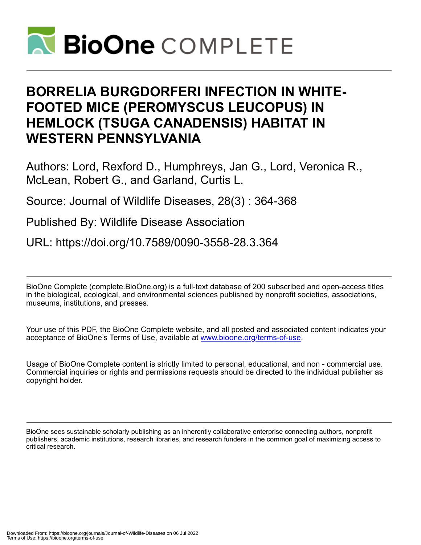

# **BORRELIA BURGDORFERI INFECTION IN WHITE-FOOTED MICE (PEROMYSCUS LEUCOPUS) IN HEMLOCK (TSUGA CANADENSIS) HABITAT IN WESTERN PENNSYLVANIA**

Authors: Lord, Rexford D., Humphreys, Jan G., Lord, Veronica R., McLean, Robert G., and Garland, Curtis L.

Source: Journal of Wildlife Diseases, 28(3) : 364-368

Published By: Wildlife Disease Association

URL: https://doi.org/10.7589/0090-3558-28.3.364

BioOne Complete (complete.BioOne.org) is a full-text database of 200 subscribed and open-access titles in the biological, ecological, and environmental sciences published by nonprofit societies, associations, museums, institutions, and presses.

Your use of this PDF, the BioOne Complete website, and all posted and associated content indicates your acceptance of BioOne's Terms of Use, available at www.bioone.org/terms-of-use.

Usage of BioOne Complete content is strictly limited to personal, educational, and non - commercial use. Commercial inquiries or rights and permissions requests should be directed to the individual publisher as copyright holder.

BioOne sees sustainable scholarly publishing as an inherently collaborative enterprise connecting authors, nonprofit publishers, academic institutions, research libraries, and research funders in the common goal of maximizing access to critical research.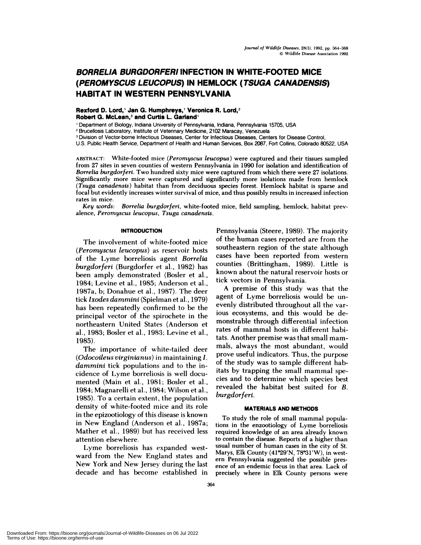## **BORRELIA BURGDORFERI INFECTION IN WHITE-FOOTED MICE (PEROMYSCUS LEUCOPUS) IN HEMLOCK (TSUGA CANADENSIS) HABITAT IN WESTERN PENNSYLVANIA**

#### **Rexford D. Lord, Jan G. Humphreys, Veronica R. Lord,2** Robert G. **McLean,3 and Curtis L. Garland**

Department of Biology, Indiana University of Pennsylvania, Indiana, Pennsylvania 15705, USA

<sup>2</sup> Brucellosis Laboratory, Institute of Veterinary Medicine, 2102 Maracay, Venezuela

<sup>3</sup> Division of Vector-borne Infectious Diseases, Center for Infectious Diseases, Centers for Disease Control,

U.S. Public Health Service, Department of Health and Human Services, Box 2087, Fort Collins, Colorado 80522, USA

**ABSTRACT:** White-footed mice *(Peromyscus leucopus)* were captured and their tissues sampled **from** 27 **sites in seven counties of western Pennsylvania in** 1990 **for isolation and identification of** *Borrelia burgdorferi.* **Two hundred sixty mice were captured from** which there were 27 **isolations.** Significantly more mice were captured and significantly more isolations made from hemlock *(Tsuga canadensis)* habitat than from deciduous species forest. Hemlock habitat is sparse and focal but evidently increases winter survival of mice, and thus possibly results in increased infection rates in mice.

*Key words: Borrelia burgdorferi,* white-footed mice, field sampling, hemlock, habitat prevalence, *Peromyscus leucopus, Tsuga canadensis.*

#### **INTRODUCTION**

The involvement of white-footed mice *(Peromyscus leucopus)* as reservoir hosts of the Lyme borreliosis agent *Borrelia burgdorferi* (Burgdorfer et a!., 1982) has been amply demonstrated (Bosler et al., 1984; Levine et al., 1985; Anderson et al., 1987a, b; Donahue et al., 1987). The deer tick *Ixodes dammini* (Spielman et a!., 1979) has been repeatedly confirmed to be the principal vector of the spirochete in the northeastern United States (Anderson et al., 1983; Bosler et al., 1983; Levine et a!., 1985).

The importance of white-tailed deer *(Odocoileus virginianus)* in maintaining *I. dammini* tick populations and to the incidence of Lyme borreliosis is well documented (Main et al., 1981; Bosler et al., 1984; Magnarelli et a!., 1984; Wilson et a!., 1985). To a certain extent, the population density of white-footed mice and its role in the epizootiology of this disease is known in New England (Anderson et al., 1987a; Mather et al., 1989) but has received less attention elsewhere.

Lyme borreliosis has expanded westward from the New England states and New York and New Jersey during the last decade and has become established in Pennsylvania (Steere, 1989). The majority of the human cases reported are from the southeastern region of the state although cases have been reported from western counties (Brittingham, 1989). Little is known about the natural reservoir hosts or tick vectors in Pennsylvania.

A premise of this study was that the agent of Lyme borreliosis would be un evenly distributed throughout all the various ecosystems, and this would be demonstrable through differential infection rates of mammal hosts in different habitats. Another premise was that small mam mals, always the most abundant, would prove useful indicators. Thus, the purpose of the study was to sample different habitats by trapping the small mammal species and to determine which species best revealed the habitat best suited for *B. burgdorferi.*

#### **MATERIALS AND METHODS**

To study the role of small mammal popula**tions in** the enzootiology of Lyme borreliosis **required** knowledge of an area already known to contain the disease. Reports of a higher than usual number of human cases in the city of St. Marys, Elk County  $(41°29'N,78°31'W)$ , in western Pennsylvania suggested the possible pres ence of an endemic focus in that area. Lack of precisely where in Elk County persons were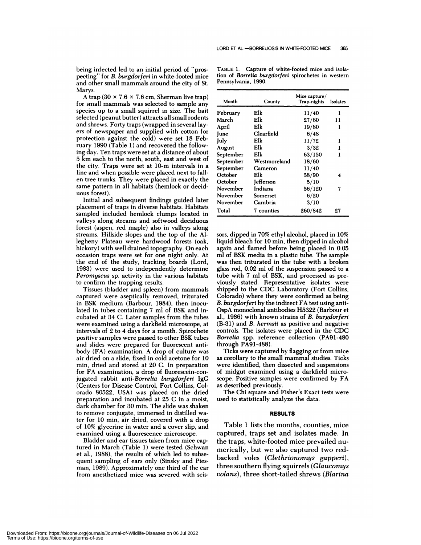being infected led to an initial period of "pros**pecting" for** *B. burgdorferi* **in white-footed mice** and other small mammals around the city of St. **Marys.**

A trap  $(30 \times 7.6 \times 7.6 \text{ cm}$ , Sherman live trap) **for** small mammals was selected to sample any species up to a small squirrel in size. The bait selected (peanut butter) attracts all small rodents and shrews. Forty traps (wrapped in several lay ers of newspaper and supplied with cotton for protection against the cold) were set 18 February 1990 (Table 1) and recovered the follow**ing** day. Ten traps were set at a distance of about 5 km each to the north, south, east and west of the city. Traps were set at 10-m intervals in a line and when possible were placed next to fall en tree trunks. They were placed in exactly the same pattern in all habitats (hemlock or decid uous forest).

Initial and subsequent findings guided later placement of traps in diverse habitats. Habitats sampled included hemlock clumps located in **valleys along streams** and softwood deciduous forest (aspen, red maple) also in valleys along **streams.** Hillside slopes and the top of the Allegheny Plateau were hardwood forests (oak, hickory) with well drained topography. On each occasion traps were set for one night only. At the end of the study, tracking boards (Lord, 1983) were used to independently determine *Peromyscus* sp. activity in the various habitats to confirm the trapping results.

**Tissues** (bladder and spleen) from mammals **captured were aseptically removed, triturated in** BSK **medium (Barbour,** 1984), then inoculated **in tubes containing** 7 ml of BSK and incubated at 34 C. **Later samples from** the tubes **were examined using a** darkfield microscope, at **intervals of** 2 **to** 4 **days for a month. Spirochete positive samples were passed to other** BSK tubes and slides were prepared for fluorescent antibody (FA) examination. A drop of culture was air dried on a slide, fixed in cold acetone for 10 min, dried and stored at 20 C. In preparation for FA examination, a drop of fluorescein-conjugated rabbit *anti-Borrelia burgdorferl* IgG (Centers for Disease Control, Fort Collins, Colorado 80522, USA) was placed on the dried preparation and incubated at 25 C in a moist, dark chamber for 30 min. The slide was shaken to remove conjugate, immersed in distilled water for 10 min, air dried, covered with a drop of 10% glycerine in water and a cover slip, and examined using a fluorescence microscope.

Bladder and ear tissues taken from mice captured in March (Table 1) were tested (Schwan et al., 1988), the results of which led to subsequent sampling of ears only (Sinsky and Pies **man,** 1989). **Approximately one** third of the ear **from anesthetized mice was severed** with scis-

**TABLE 1.** Capture of white-footed mice and isolation of *Borrella burgdorferl* spirochetes in western Pennsylvania, 1990.

| Month     | County       | Mice capture/<br>Trap-nights | Isolates |
|-----------|--------------|------------------------------|----------|
| February  | Elk          | 11/40                        | ı        |
| March     | Elk          | 27/60                        | 11       |
| April     | Elk          | 19/80                        | 1        |
| June      | Clearfield   | 6/48                         |          |
| July      | Elk          | 11/72                        | ı        |
| August    | Elk          | 3/32                         | ı        |
| September | Elk          | 63/150                       |          |
| September | Westmoreland | 18/60                        |          |
| September | Cameron      | 11/40                        |          |
| October   | Elk          | 38/90                        | 4        |
| October   | Jefferson    | 5/10                         |          |
| November  | Indiana      | 56/120                       |          |
| November  | Somerset     | 6/20                         |          |
| November  | Cambria      | 3/10                         |          |
| Total     | 7 counties   | 260/842                      | 27       |

sors, dipped in 70% ethyl alcohol, placed in 10% liquid bleach for 10 min, then dipped in alcohol again and flamed before being placed in 0.05 ml of BSK media in a plastic tube. The sample was then triturated in the tube with a broken glass rod, 0.02 ml of the suspension passed to a tube with 7 ml of BSK, and processed as previously stated. Representative isolates were shipped to the CDC Laboratory (Fort Collins, Colorado) where they were confirmed as being *B. burgdorferi* by the indirect FA test using anti-OspA monoclonal antibodies H5322 (Barbour et al., 1986) with known strains of *B. burgdorferi* (B-Si) and *B.hermsll* as positive and negative controls. The isolates were placed in the CDC Borrelia spp. reference collection (PA91-480 through PA91-488).

Ticks were captured by flagging or from mice as corollary to the small mammal studies. Ticks were identified, then dissected and suspensions of midgut examined using a darkfield microscope. Positive samples were confirmed by FA as described previously.

The Chi square and Fisher's Exact tests were used to statistically analyze the data.

#### **RESULTS**

Table 1 lists the months, counties, mice captured, traps set and isolates made. In the traps, white-footed mice prevailed nu merically, but we also captured two redbacked voles *(Clethrionomys gapperi),* three southern flying squirrels *(Glaucomys volans),* three short-tailed shrews *(Blarina*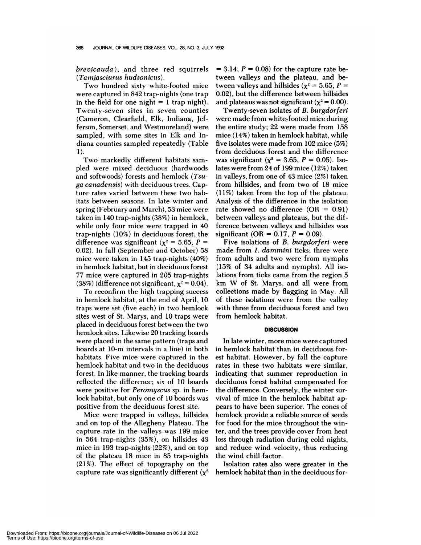### *brevicauda),* and three red squirrels *(Tamiasciurus hudsonicus).*

Two hundred sixty white-footed mice were captured in 842 trap-nights (one trap in the field for one night  $= 1$  trap night). Twenty-seven sites in seven counties (Cameron, Clearfield, E!k, Indiana, Jefferson, Somerset, and Westmoreland) were sampled, with some sites in Elk and Indiana counties sampled repeatedly (Table 1).

Two markedly different habitats sam pled were mixed deciduous (hardwoods and softwoods) forests and hemlock *(Tsuga canadensis)* with deciduous trees. Capture rates varied between these two habitats between seasons. In late winter and spring (February and March), 53 mice were taken in 140 trap-nights (38%) in hemlock, while only four mice were trapped in 40 trap-nights (10%) in deciduous forest; the difference was significant ( $\chi^2 = 5.65$ , P = 0.02). In fall (September and October) 58 mice were taken in 145 trap-nights (40%) in hemlock habitat, but in deciduous forest 77 mice were captured in 205 trap-nights (38%) (difference not significant,  $\chi^2 = 0.04$ ).

To reconfirm the high trapping success in hemlock habitat, at the end of April, 10 traps were set (five each) in two hemlock sites west of St. Marys, and 10 traps were placed in deciduous forest between the two hemlock sites. Likewise 20 tracking boards were placed in the same pattern (traps and boards at 10-m intervals in a line) in both habitats. Five mice were captured in the hemlock habitat and two in the deciduous forest. In like manner, the tracking boards reflected the difference; six of 10 boards were positive for *Peromyscus* sp. in hemlock habitat, but only one of 10 boards was positive from the deciduous forest site.

Mice were trapped in valleys, hillsides and on top of the Allegheny Plateau. The capture rate in the valleys was 199 mice in 564 trap-nights (35%), on hillsides 43 mice in 193 trap-nights (22%), and on top of the plateau 18 mice in 85 trap-nights (21%). The effect of topography on the capture rate was significantly different  $(\chi^2)$ 

 $= 3.14, P = 0.08$  for the capture rate between valleys and the plateau, and between valleys and hillsides ( $\chi^2$  = 5.65, P = 0.02), but the difference between hillsides and plateaus was not significant ( $\chi^2 = 0.00$ ).

Twenty-seven isolates of *B. burgdorferi* were made from white-footed mice during the entire study; 22 were made from 158 mice (14%) taken in hemlock habitat, while five isolates were made from 102 mice (5%) from deciduous forest and the difference was significant ( $\chi^2 = 3.65$ ,  $P = 0.05$ ). Isolates were from 24 of 199 mice (12%) taken in valleys, from one of 43 mice (2%) taken from hillsides, and from two of 18 mice (11%) taken from the top of the plateau. Analysis of the difference in the isolation rate showed no difference  $(OR = 0.91)$ between valleys and plateaus, but the difference between valleys and hillsides was significant (OR =  $0.17, P = 0.09$ ).

Five isolations of *B. burgdorferi* were made from *I. dammini* ticks; three were from adults and two were from nymphs (15% of 34 adults and nymphs). All isolations from ticks came from the region 5 km W of St. Marys, and all were from collections made by flagging in May. All of these isolations were from the valley with three from deciduous forest and two from hemlock habitat.

#### **DISCUSSION**

In late winter, more mice were captured in hemlock habitat than in deciduous forest habitat. However, by fall the capture rates in these two habitats were similar, indicating that summer reproduction in deciduous forest habitat compensated for the difference. Conversely, the winter sur vival of mice in the hemlock habitat appears to have been superior. The cones of hemlock provide a reliable source of seeds for food for the mice throughout the winter, and the trees provide cover from heat loss through radiation during cold nights, and reduce wind velocity, thus reducing the wind chill factor.

Isolation rates also were greater in the hemlock habitat than in the deciduous for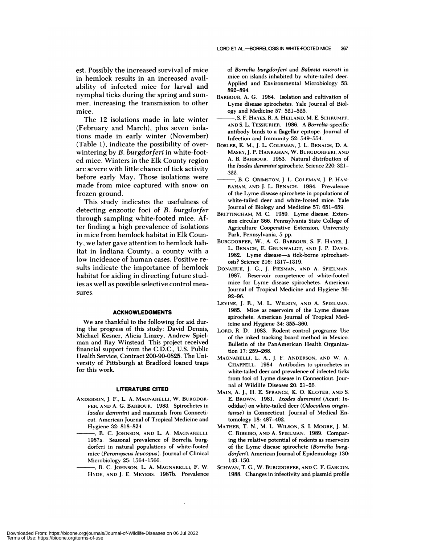est. Possibly the increased survival of mice in hemlock results in an increased availability of infected mice for larval and nymphal ticks during the spring and sum mer, increasing the transmission to other mice.

The 12 isolations made in late winter (February and March), plus seven isolations made in early winter (November) (Table 1), indicate the possibility of over wintering by *B. burgdorferi* in white-footed mice. Winters in the Elk County region are severe with little chance of tick activity before early May. Those isolations were made from mice captured with snow on frozen ground.

This study indicates the usefulness of detecting enzootic foci of *B. burgdorfer* through sampling white-footed mice. After finding a high prevalence of isolations in mice from hemlock habitat in Elk County, we later gave attention to hemlock habitat in Indiana County, a county with a low incidence of human cases. Positive re sults indicate the importance of hemlock habitat for aiding in directing future studies as well as possible selective control mea sures.

#### **ACKNOWLEDGMENTS**

We are thankful to the following for aid during the progress of this study: David Dennis, Michael Kesner, Alicia Linzey, Andrew Spiel man and Ray Winstead. This project received financial support from the C.D.C., U.S. Public Health Service, Contract 200-90-0825. The University of Pittsburgh at Bradford loaned traps for this work.

#### **LITERATURE CITED**

- **ANDERSON,** J.F., L. A. **MAGNARELLI,** W. BURGDOR- **FER, AND** A.G. **BARBOUR.** 1983. Spirochetes in *Ixodes dammini* and mammals from Connecti cut. American Journal of Tropical Medicine and Hygiene 32: 818-824.
	- R. C. **JOHNSON,** AND L. A. **MAGNARELLI.** 1987a. Seasonal prevalence of Borrelia burg dorferi in natural populations of white-footed mice *(Peromyscus leucopus).* Journal of Clinical Microbiology 25: 1564-1566.
- R. C. **JOHNSON,** L. A. **MAGNARELLI,** F. W. **HYDE, AND** J. E. **MEYERS.** 1987b. Prevalence

of *Borrella burgdorferl* and *Babesla microti* in mice on islands inhabited by white-tailed deer. Applied and Environmental Microbiology 53: 892-894.

- BARBOUR, A. G. 1984. Isolation and cultivation of Lyme disease spirochetes. Yale Journal of Biol ogy and Medicine 57: 521-525.
- S. F. HAYES, R. A. **HEILAND,** M. E. SCHRUMPF, **AND** S. L. **TESSIURIER.** 1986. A *Borrelia-specific* antibody binds to a flagellar epitope. Journal of Infection and Immunity 52: 549-554.
- **BOSLER,** E. M., J. L. **COLEMAN,** J. L. **BENACH,** D. A. **MASEY,** J.P. **HANRAHAN,** W. BURGDORFERI, AND A. B. **BARBOUR.** 1983. Natural distribution of the *Ixodes dammini* spirochete. Science 220: 321- 322.
- B. G. **ORIMsTON,** J. L. **COLEMAN,** J.P. **HAN- RAHAN, AND** J. L. **BENACH.** 1984. Prevalence of the Lyme disease spirochete in populations of white-tailed deer and white-footed mice. Yale Journal of Biology and Medicine 57: 651-659.
- BRITTINGHAM, M. C. 1989. Lyme disease. Exten sion circular 366. Pennsylvania State College of Agriculture Cooperative Extension, University Park, Pennsylvania, 5 pp.
- **BURGDORFER,** W., A. G. **BARBOUR,** S. F. **HAYES,** J. L. **BENACH,** E. **GRUNWALDT, AND** J. P. DAVIS. 1982. Lyme disease-a tick-borne spirochaetosis? Science 216: 1317-1319.
- **DONAHUE,** J. G., J. **PIESMAN, AND** A. **SPIELMAN.** 1987. Reservoir competence of white-footed mice for Lyme disease spirochetes. American Journal of Tropical Medicine and Hygiene 36: 92-96.
- **LEVINE,** J. R., M. L. **WILSoN, AND** A. SPIELMAN. 1985. Mice as reservoirs of the Lyme disease spirochete. American Journal of Tropical Medicine and Hygiene 34: 355-360.
- **LORD,** R. D. 1983. Rodent control programs: Use of the inked tracking board method in Mexico. Bulletin of the PanAmerican Health Organization 17: 259-268.
- **MAGNARELLI,** L. A., J. F. **ANDERSON, AND** W. A. **CHAPPELL.** 1984. Antibodies to spirochetes in white-tailed deer and prevalence of infected ticks from foci of Lyme disease in Connecticut. Jour nal of Wildlife Diseases 20: 21-26.
- **MAIN,** A. J.,H. E. **SPRANCE,** K. 0. **KLOTER, AND** S.E. **BROWN.** 1981. *Ixodes dammini* (Acari: Ix odidae) on white-tailed deer *(Odocolleus virginlanus)* in Connecticut. Journal of Medical Entomology 18: 487-492.
- **MATHER,** T. N., M. L. WILSON, S. I. **MOORE,** J. M. C. **RIBEIR0, AND** A.**SPIELMAN.** 1989. Comparing the relative potential of rodents as reservoirs of the Lyme disease spirochete *(Borrella burgdorferi).* American Journal of Epidemiology 130: 143-150.
- **SCHWAN,** T. G., W. BURGDORFER, AND C. F. **GARCON.** 1988. Changes in infectivity and plasmid profile